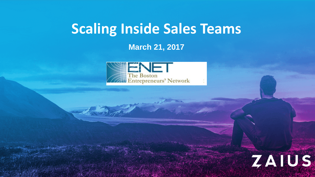# **Scaling Inside Sales Teams**

**March 21, 2017**



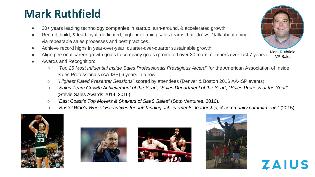## **Mark Ruthfield**

- 20+ years leading technology companies in startup, turn-around, & accelerated growth.
- Recruit, build, & lead loyal, dedicated, high-performing sales teams that "do" vs. "talk about doing" via repeatable sales processes and best practices.
- Achieve record highs in year-over-year, quarter-over-quarter sustainable growth.
- VP Sales Align personal career growth goals to company goals (promoted over 30 team members over last 7 years).
- Awards and Recognition:
	- *"Top 25 Most Influential Inside Sales Professionals Prestigious Award"* for the American Association of Inside Sales Professionals (AA-ISP) 6 years in a row.
	- *"Highest Rated Presenter Sessions"* scored by attendees (Denver & Boston 2016 AA-ISP events).
	- *"Sales Team Growth Achievement of the Year"*, *"Sales Department of the Year", "Sales Process of the Year"*  (Stevie Sales Awards 2014, 2016).
	- *"East Coast's Top Movers & Shakers of SaaS Sales"* (Soto Ventures, 2016).
	- *"Bristol Who's Who of Executives for outstanding achievements, leadership, & community commitments"* (2015).









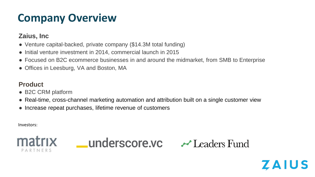# **Company Overview**

#### **Zaius, Inc**

- Venture capital-backed, private company (\$14.3M total funding)
- Initial venture investment in 2014, commercial launch in 2015
- Focused on B2C ecommerce businesses in and around the midmarket, from SMB to Enterprise
- Offices in Leesburg, VA and Boston, MA

#### **Product**

- B2C CRM platform
- Real-time, cross-channel marketing automation and attribution built on a single customer view
- Increase repeat purchases, lifetime revenue of customers

Investors:







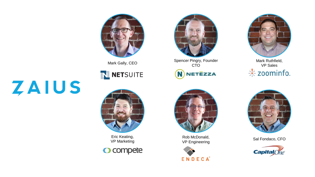

## N NETSUITE



Eric Keating, VP Marketing

O compete



Mark Gally, CEO Spencer Pingry, Founder CTO **NETEZZA** N



Rob McDonald, Sal Fondaco, CFO VP Engineering





Mark Ruthfield, VP Sales → zoominfo.



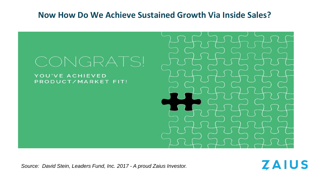#### **Now How Do We Achieve Sustained Growth Via Inside Sales?**



**ZAIUS** 

*Source: David Stein, Leaders Fund, Inc. 2017 - A proud Zaius Investor.*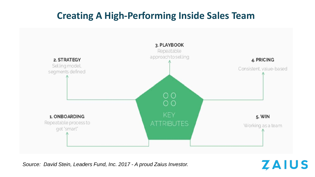## **Creating A High-Performing Inside Sales Team**



*Source: David Stein, Leaders Fund, Inc. 2017 - A proud Zaius Investor.*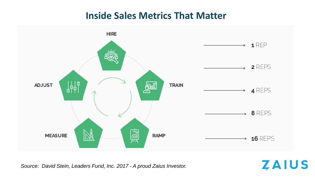## **Inside Sales Metrics That Matter**



*Source: David Stein, Leaders Fund, Inc. 2017 - A proud Zaius Investor.*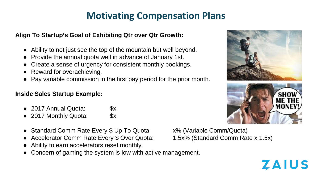## **Motivating Compensation Plans**

#### **Align To Startup's Goal of Exhibiting Qtr over Qtr Growth:**

- Ability to not just see the top of the mountain but well beyond.
- Provide the annual quota well in advance of January 1st.
- Create a sense of urgency for consistent monthly bookings.
- Reward for overachieving.
- Pay variable commission in the first pay period for the prior month.

#### **Inside Sales Startup Example:**

- 2017 Annual Quota: \$x
- 2017 Monthly Quota: \$x
- Standard Comm Rate Every \$ Up To Quota: x% (Variable Comm/Quota)
- Accelerator Comm Rate Every \$ Over Quota: 1.5x% (Standard Comm Rate x 1.5x)
- Ability to earn accelerators reset monthly.
- Concern of gaming the system is low with active management.

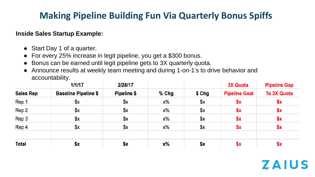## **Making Pipeline Building Fun Via Quarterly Bonus Spiffs**

#### **Inside Sales Startup Example:**

- Start Day 1 of a quarter.
- For every 25% increase in legit pipeline, you get a \$300 bonus.
- Bonus can be earned until legit pipeline gets to 3X quarterly quota.
- Announce results at weekly team meeting and during 1-on-1's to drive behavior and accountability.

|                  | 1/1/17                      | 2/28/17            |         |        | <b>3X Quota</b>      | <b>Pipeline Gap</b> |
|------------------|-----------------------------|--------------------|---------|--------|----------------------|---------------------|
| <b>Sales Rep</b> | <b>Baseline Pipeline \$</b> | <b>Pipeline \$</b> | $%$ Chg | \$ Chg | <b>Pipeline Goal</b> | <b>To 3X Quota</b>  |
| Rep 1            | \$x                         | \$х                | х%      | x      | \$x                  | \$x                 |
| Rep 2            | \$x                         | \$х                | x%      | \$x    | \$x                  | \$x                 |
| Rep 3            | \$х                         | $x^2$              | x%      | \$x    | \$x                  | \$x                 |
| Rep 4            | \$x                         | $x^2$              | х%      | $x^2$  | \$x                  | \$x                 |
| <b>Total</b>     | \$x                         | \$x                | $x\%$   | \$x    | \$x                  | \$x                 |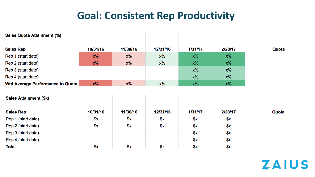## **Goal: Consistent Rep Productivity**

| <b>Sales Quota Attainment (%)</b> |          |          |          |         |         |       |
|-----------------------------------|----------|----------|----------|---------|---------|-------|
| <b>Sales Rep</b>                  | 10/31/16 | 11/30/16 | 12/31/16 | 1/31/17 | 2/28/17 | Quota |
| Rep 1 (start date)                | $x\%$    | $x\%$    | $x\%$    | $x\%$   | $x\%$   |       |
| Rep 2 (start date)                | $x\%$    | $x\%$    | $x\%$    | $x\%$   | $x\%$   |       |
| Rep 3 (start date)                |          |          |          | $x\%$   | $x\%$   |       |
| Rep 4 (start date)                |          |          |          | $x\%$   | $x\%$   |       |
| Wtd Average Performance to Quota  | $x\%$    | $x\%$    | x%       | $x\%$   | $x\%$   |       |

| <b>Sales Attainment (\$k)</b> |          |          |          |         |         |       |
|-------------------------------|----------|----------|----------|---------|---------|-------|
| <b>Sales Rep</b>              | 10/31/16 | 11/30/16 | 12/31/16 | 1/31/17 | 2/28/17 | Quota |
| Rep 1 (start date)            | \$x      | \$x      | \$x      | \$x     | \$x     |       |
| Rep 2 (start date)            | $x^2$    | \$x      | $x^2$    | \$x     | x       |       |
| Rep 3 (start date)            |          |          |          | $x^2$   | x       |       |
| Rep 4 (start date)            |          |          |          | \$x     | $x^2$   |       |
| <b>Total</b>                  | \$x      | \$x      | \$x      | \$x     | \$x     |       |